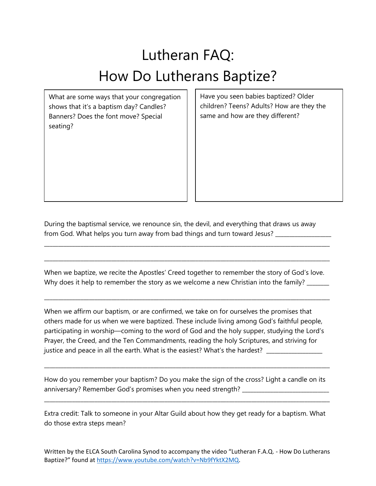## Lutheran FAQ: How Do Lutherans Baptize?

What are some ways that your congregation shows that it's a baptism day? Candles? Banners? Does the font move? Special seating?

Have you seen babies baptized? Older children? Teens? Adults? How are they the same and how are they different?

During the baptismal service, we renounce sin, the devil, and everything that draws us away from God. What helps you turn away from bad things and turn toward Jesus? \_\_\_\_\_\_\_\_\_\_\_\_

\_\_\_\_\_\_\_\_\_\_\_\_\_\_\_\_\_\_\_\_\_\_\_\_\_\_\_\_\_\_\_\_\_\_\_\_\_\_\_\_\_\_\_\_\_\_\_\_\_\_\_\_\_\_\_\_\_\_\_\_\_\_\_\_\_\_\_\_\_\_\_\_\_\_\_\_\_\_\_\_\_\_\_\_\_\_\_\_\_\_\_\_\_\_\_\_\_\_\_\_\_\_

\_\_\_\_\_\_\_\_\_\_\_\_\_\_\_\_\_\_\_\_\_\_\_\_\_\_\_\_\_\_\_\_\_\_\_\_\_\_\_\_\_\_\_\_\_\_\_\_\_\_\_\_\_\_\_\_\_\_\_\_\_\_\_\_\_\_\_\_\_\_\_\_\_\_\_\_\_\_\_\_\_\_\_\_\_\_\_\_\_\_\_\_\_\_\_\_\_\_\_\_\_\_

When we baptize, we recite the Apostles' Creed together to remember the story of God's love. Why does it help to remember the story as we welcome a new Christian into the family?

\_\_\_\_\_\_\_\_\_\_\_\_\_\_\_\_\_\_\_\_\_\_\_\_\_\_\_\_\_\_\_\_\_\_\_\_\_\_\_\_\_\_\_\_\_\_\_\_\_\_\_\_\_\_\_\_\_\_\_\_\_\_\_\_\_\_\_\_\_\_\_\_\_\_\_\_\_\_\_\_\_\_\_\_\_\_\_\_\_\_\_\_\_\_\_\_\_\_\_\_\_\_

When we affirm our baptism, or are confirmed, we take on for ourselves the promises that others made for us when we were baptized. These include living among God's faithful people, participating in worship—coming to the word of God and the holy supper, studying the Lord's Prayer, the Creed, and the Ten Commandments, reading the holy Scriptures, and striving for justice and peace in all the earth. What is the easiest? What's the hardest? \_\_\_\_\_\_\_\_\_\_\_\_\_\_\_\_\_\_\_\_\_\_\_

How do you remember your baptism? Do you make the sign of the cross? Light a candle on its anniversary? Remember God's promises when you need strength? \_\_\_\_\_\_\_\_\_\_\_\_\_\_\_\_\_\_\_

\_\_\_\_\_\_\_\_\_\_\_\_\_\_\_\_\_\_\_\_\_\_\_\_\_\_\_\_\_\_\_\_\_\_\_\_\_\_\_\_\_\_\_\_\_\_\_\_\_\_\_\_\_\_\_\_\_\_\_\_\_\_\_\_\_\_\_\_\_\_\_\_\_\_\_\_\_\_\_\_\_\_\_\_\_\_\_\_\_\_\_\_\_\_\_\_\_\_\_\_\_\_

\_\_\_\_\_\_\_\_\_\_\_\_\_\_\_\_\_\_\_\_\_\_\_\_\_\_\_\_\_\_\_\_\_\_\_\_\_\_\_\_\_\_\_\_\_\_\_\_\_\_\_\_\_\_\_\_\_\_\_\_\_\_\_\_\_\_\_\_\_\_\_\_\_\_\_\_\_\_\_\_\_\_\_\_\_\_\_\_\_\_\_\_\_\_\_\_\_\_\_\_\_\_

Extra credit: Talk to someone in your Altar Guild about how they get ready for a baptism. What do those extra steps mean?